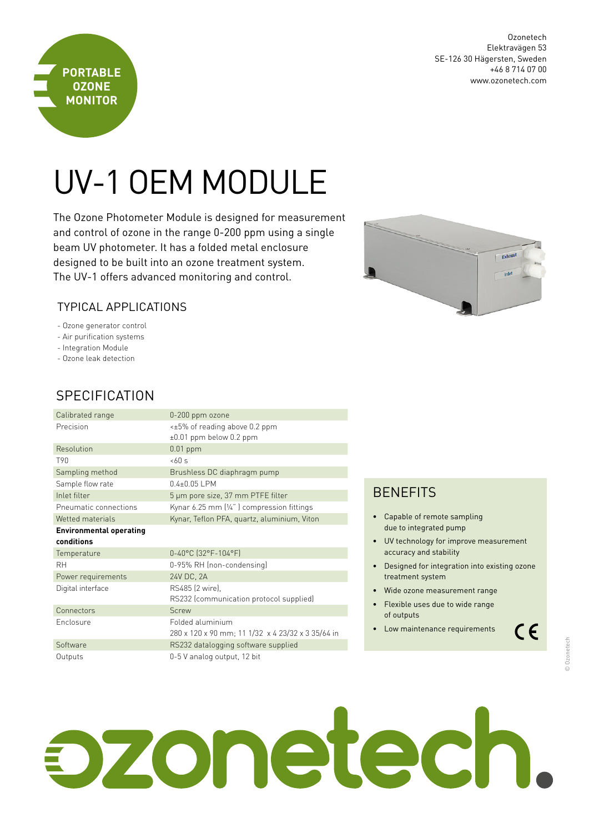SE-126 30 Hägersten, Sweden +46 8 714 07 00 www.ozonetech.com

Ozonetech Elektravägen 53

# UV-1 OEM MODULE

The Ozone Photometer Module is designed for measurement and control of ozone in the range 0-200 ppm using a single beam UV photometer. It has a folded metal enclosure designed to be built into an ozone treatment system. The UV-1 offers advanced monitoring and control.



#### Typical Applications

- Ozone generator control
- Air purification systems
- Integration Module

**PORTABLE OZONE MONITOR**

- Ozone leak detection

## **SPECIFICATION**

| Calibrated range               | 0-200 ppm ozone                                                     |
|--------------------------------|---------------------------------------------------------------------|
| Precision                      | $\leq$ ±5% of reading above 0.2 ppm<br>$\pm 0.01$ ppm below 0.2 ppm |
| Resolution                     | $0.01$ ppm                                                          |
| T90                            | 560s                                                                |
| Sampling method                | Brushless DC diaphragm pump                                         |
| Sample flow rate               | $0.4 + 0.05$ I PM                                                   |
| Inlet filter                   | 5 µm pore size, 37 mm PTFE filter                                   |
| Pneumatic connections          | Kynar $6.25$ mm $\left[\frac{1}{4}\right]$ compression fittings     |
| Wetted materials               | Kynar, Teflon PFA, quartz, aluminium, Viton                         |
| <b>Environmental operating</b> |                                                                     |
| conditions                     |                                                                     |
|                                |                                                                     |
| Temperature                    | 0-40°C (32°F-104°F)                                                 |
| RН                             | 0-95% RH (non-condensing)                                           |
| Power requirements             | 24V DC, 2A                                                          |
| Digital interface              | RS485 (2 wire).                                                     |
|                                | RS232 (communication protocol supplied)                             |
| Connectors                     | Screw                                                               |
| Enclosure                      | Folded aluminium                                                    |
|                                | 280 x 120 x 90 mm; 11 1/32 x 4 23/32 x 3 35/64 in                   |
| Software                       | RS232 datalogging software supplied                                 |

### **BENEFITS**

- • Capable of remote sampling due to integrated pump
- UV technology for improve measurement accuracy and stability
- Designed for integration into existing ozone treatment system
- • Wide ozone measurement range
- • Flexible uses due to wide range of outputs
- Low maintenance requirements

 $C \in$